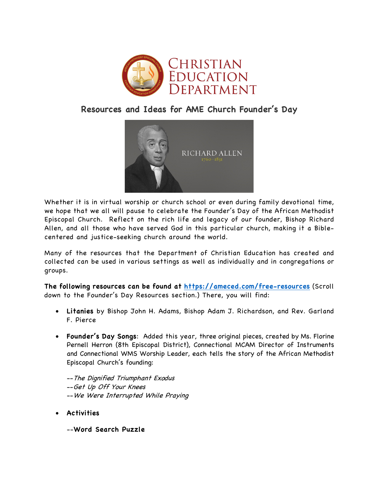

## **Resources and Ideas for AME Church Founder's Day**



Whether it is in virtual worship or church school or even during family devotional time, we hope that we all will pause to celebrate the Founder's Day of the African Methodist Episcopal Church. Reflect on the rich life and legacy of our founder, Bishop Richard Allen, and all those who have served God in this particular church, making it a Biblecentered and justice-seeking church around the world.

Many of the resources that the Department of Christian Education has created and collected can be used in various settings as well as individually and in congregations or groups.

**The following resources can be found at https://ameced.com/free-resources** (Scroll down to the Founder's Day Resources section.) There, you will find:

- **Litanies** by Bishop John H. Adams, Bishop Adam J. Richardson, and Rev. Garland F. Pierce
- **Founder's Day Songs**: Added this year, three original pieces, created by Ms. Florine Pernell Herron (8th Episcopal District), Connectional MCAM Director of Instruments and Connectional WMS Worship Leader, each tells the story of the African Methodist Episcopal Church's founding:
	- --The Dignified Triumphant Exodus --Get Up Off Your Knees --We Were Interrupted While Praying
- **Activities**
	- --**Word Search Puzzle**